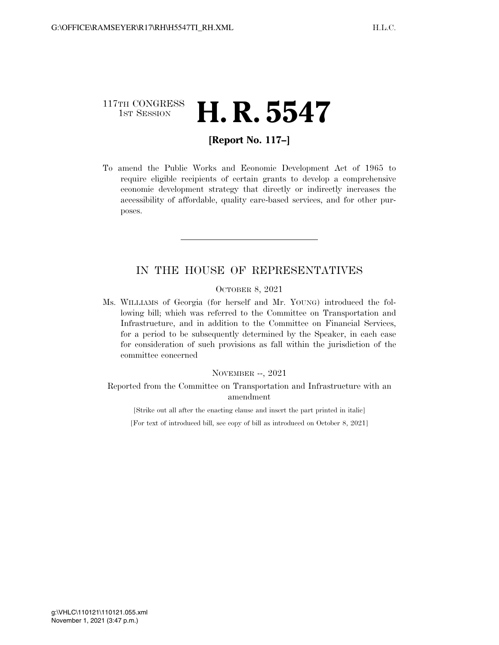## 117TH CONGRESS <sup>TH CONGRESS</sup> **H. R. 5547**

### **[Report No. 117–]**

To amend the Public Works and Economic Development Act of 1965 to require eligible recipients of certain grants to develop a comprehensive economic development strategy that directly or indirectly increases the accessibility of affordable, quality care-based services, and for other purposes.

## IN THE HOUSE OF REPRESENTATIVES

#### OCTOBER 8, 2021

Ms. WILLIAMS of Georgia (for herself and Mr. YOUNG) introduced the following bill; which was referred to the Committee on Transportation and Infrastructure, and in addition to the Committee on Financial Services, for a period to be subsequently determined by the Speaker, in each case for consideration of such provisions as fall within the jurisdiction of the committee concerned

#### NOVEMBER --, 2021

Reported from the Committee on Transportation and Infrastructure with an amendment

[Strike out all after the enacting clause and insert the part printed in italic]

[For text of introduced bill, see copy of bill as introduced on October 8, 2021]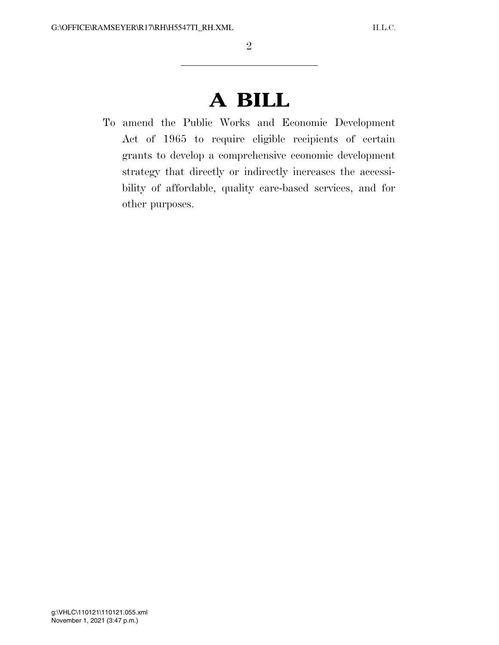# **A BILL**

To amend the Public Works and Economic Development Act of 1965 to require eligible recipients of certain grants to develop a comprehensive economic development strategy that directly or indirectly increases the accessibility of affordable, quality care-based services, and for other purposes.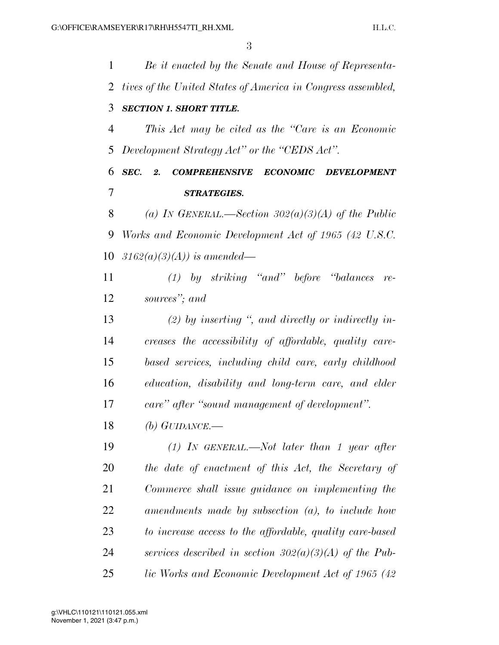*Be it enacted by the Senate and House of Representa- tives of the United States of America in Congress assembled, SECTION 1. SHORT TITLE. This Act may be cited as the ''Care is an Economic Development Strategy Act'' or the ''CEDS Act''. SEC. 2. COMPREHENSIVE ECONOMIC DEVELOPMENT STRATEGIES. (a) IN GENERAL.—Section 302(a)(3)(A) of the Public Works and Economic Development Act of 1965 (42 U.S.C. 3162(a)(3)(A)) is amended— (1) by striking ''and'' before ''balances re- sources''; and (2) by inserting '', and directly or indirectly in- creases the accessibility of affordable, quality care- based services, including child care, early childhood education, disability and long-term care, and elder care'' after ''sound management of development''. (b) GUIDANCE.— (1) IN GENERAL.—Not later than 1 year after the date of enactment of this Act, the Secretary of Commerce shall issue guidance on implementing the amendments made by subsection (a), to include how to increase access to the affordable, quality care-based services described in section 302(a)(3)(A) of the Pub-lic Works and Economic Development Act of 1965 (42*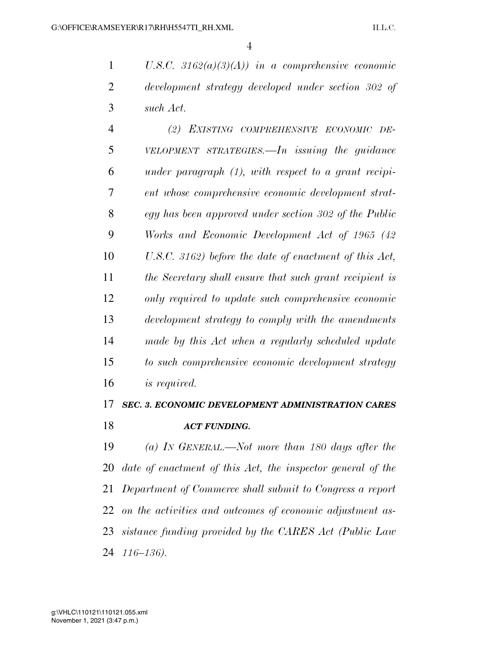*U.S.C. 3162(a)(3)(A)) in a comprehensive economic development strategy developed under section 302 of such Act.* 

 *(2) EXISTING COMPREHENSIVE ECONOMIC DE- VELOPMENT STRATEGIES.—In issuing the guidance under paragraph (1), with respect to a grant recipi- ent whose comprehensive economic development strat- egy has been approved under section 302 of the Public Works and Economic Development Act of 1965 (42 U.S.C. 3162) before the date of enactment of this Act, the Secretary shall ensure that such grant recipient is only required to update such comprehensive economic development strategy to comply with the amendments made by this Act when a regularly scheduled update to such comprehensive economic development strategy is required.* 

# *SEC. 3. ECONOMIC DEVELOPMENT ADMINISTRATION CARES ACT FUNDING.*

 *(a) IN GENERAL.—Not more than 180 days after the date of enactment of this Act, the inspector general of the Department of Commerce shall submit to Congress a report on the activities and outcomes of economic adjustment as- sistance funding provided by the CARES Act (Public Law 116–136).*